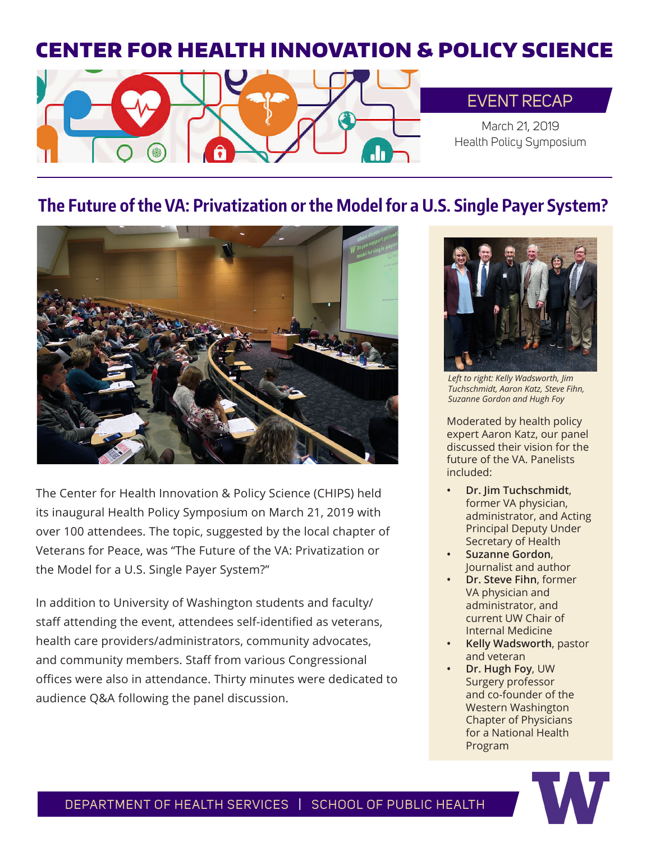# CENTER FOR HEALTH INNOVATION & POLICY SCIENCE



## EVENT RECAP

March 21, 2019 Health Policy Symposium

## **The Future of the VA: Privatization or the Model for a U.S. Single Payer System?**



The Center for Health Innovation & Policy Science (CHIPS) held its inaugural Health Policy Symposium on March 21, 2019 with over 100 attendees. The topic, suggested by the local chapter of Veterans for Peace, was "The Future of the VA: Privatization or the Model for a U.S. Single Payer System?"

In addition to University of Washington students and faculty/ staff attending the event, attendees self-identified as veterans, health care providers/administrators, community advocates, and community members. Staff from various Congressional offices were also in attendance. Thirty minutes were dedicated to audience Q&A following the panel discussion.



*Left to right: Kelly Wadsworth, Jim Tuchschmidt, Aaron Katz, Steve Fihn, Suzanne Gordon and Hugh Foy*

Moderated by health policy expert Aaron Katz, our panel discussed their vision for the future of the VA. Panelists included:

- **• Dr. Jim Tuchschmidt**, former VA physician, administrator, and Acting Principal Deputy Under Secretary of Health
- **• Suzanne Gordon**, Journalist and author
- **• Dr. Steve Fihn**, former VA physician and administrator, and current UW Chair of Internal Medicine
- **• Kelly Wadsworth**, pastor and veteran
- **• Dr. Hugh Foy**, UW Surgery professor and co-founder of the Western Washington Chapter of Physicians for a National Health Program